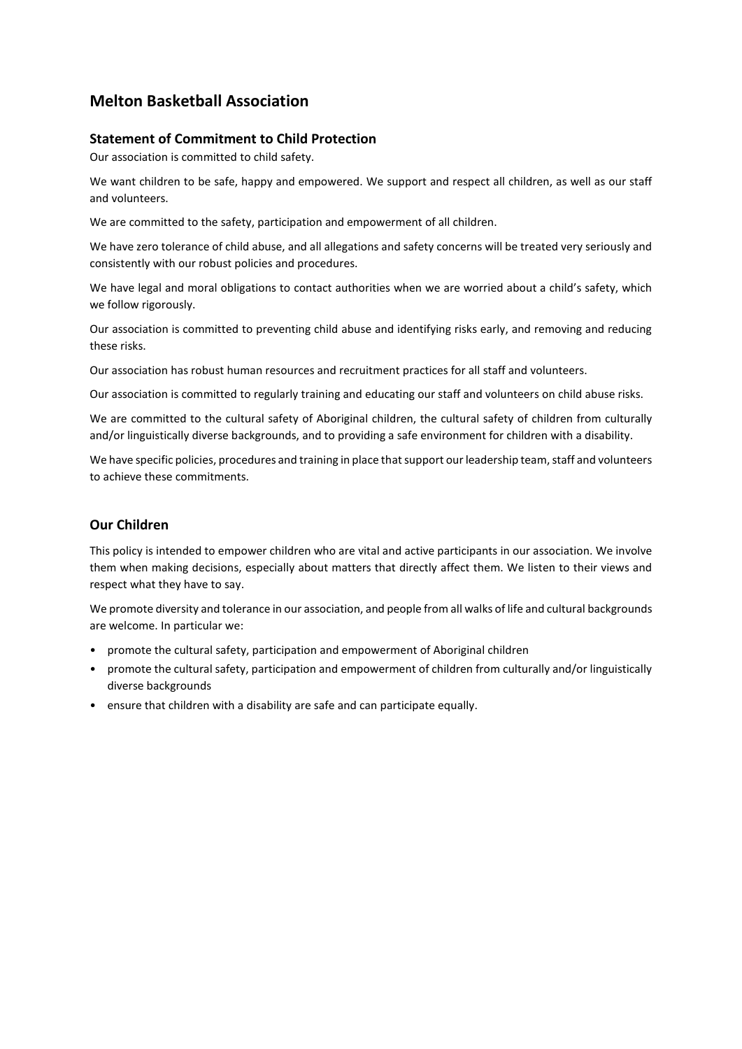# **Melton Basketball Association**

### **Statement of Commitment to Child Protection**

Our association is committed to child safety.

We want children to be safe, happy and empowered. We support and respect all children, as well as our staff and volunteers.

We are committed to the safety, participation and empowerment of all children.

We have zero tolerance of child abuse, and all allegations and safety concerns will be treated very seriously and consistently with our robust policies and procedures.

We have legal and moral obligations to contact authorities when we are worried about a child's safety, which we follow rigorously.

Our association is committed to preventing child abuse and identifying risks early, and removing and reducing these risks.

Our association has robust human resources and recruitment practices for all staff and volunteers.

Our association is committed to regularly training and educating our staff and volunteers on child abuse risks.

We are committed to the cultural safety of Aboriginal children, the cultural safety of children from culturally and/or linguistically diverse backgrounds, and to providing a safe environment for children with a disability.

We have specific policies, procedures and training in place that support our leadership team, staff and volunteers to achieve these commitments.

### **Our Children**

This policy is intended to empower children who are vital and active participants in our association. We involve them when making decisions, especially about matters that directly affect them. We listen to their views and respect what they have to say.

We promote diversity and tolerance in our association, and people from all walks of life and cultural backgrounds are welcome. In particular we:

- promote the cultural safety, participation and empowerment of Aboriginal children
- promote the cultural safety, participation and empowerment of children from culturally and/or linguistically diverse backgrounds
- ensure that children with a disability are safe and can participate equally.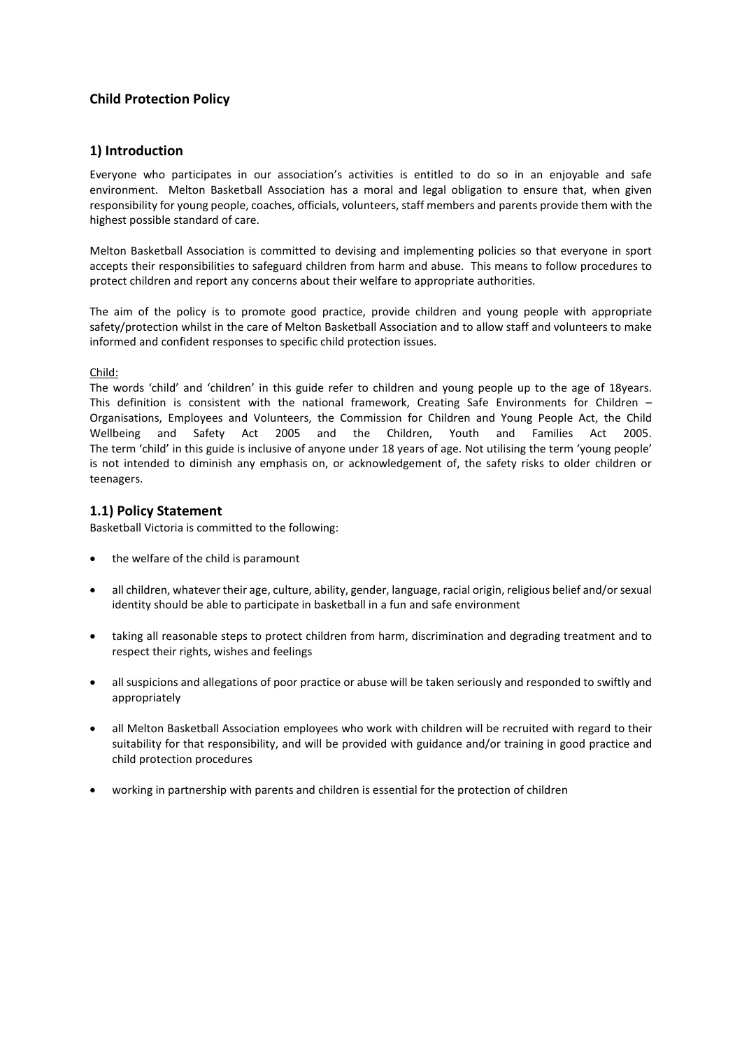### **Child Protection Policy**

#### **1) Introduction**

Everyone who participates in our association's activities is entitled to do so in an enjoyable and safe environment. Melton Basketball Association has a moral and legal obligation to ensure that, when given responsibility for young people, coaches, officials, volunteers, staff members and parents provide them with the highest possible standard of care.

Melton Basketball Association is committed to devising and implementing policies so that everyone in sport accepts their responsibilities to safeguard children from harm and abuse. This means to follow procedures to protect children and report any concerns about their welfare to appropriate authorities.

The aim of the policy is to promote good practice, provide children and young people with appropriate safety/protection whilst in the care of Melton Basketball Association and to allow staff and volunteers to make informed and confident responses to specific child protection issues.

#### Child:

The words 'child' and 'children' in this guide refer to children and young people up to the age of 18years. This definition is consistent with the national framework, Creating Safe Environments for Children – Organisations, Employees and Volunteers, the Commission for Children and Young People Act, the Child Wellbeing and Safety Act 2005 and the Children, Youth and Families Act 2005. The term 'child' in this guide is inclusive of anyone under 18 years of age. Not utilising the term 'young people' is not intended to diminish any emphasis on, or acknowledgement of, the safety risks to older children or teenagers.

#### **1.1) Policy Statement**

Basketball Victoria is committed to the following:

- the welfare of the child is paramount
- all children, whatever their age, culture, ability, gender, language, racial origin, religious belief and/or sexual identity should be able to participate in basketball in a fun and safe environment
- taking all reasonable steps to protect children from harm, discrimination and degrading treatment and to respect their rights, wishes and feelings
- all suspicions and allegations of poor practice or abuse will be taken seriously and responded to swiftly and appropriately
- all Melton Basketball Association employees who work with children will be recruited with regard to their suitability for that responsibility, and will be provided with guidance and/or training in good practice and child protection procedures
- working in partnership with parents and children is essential for the protection of children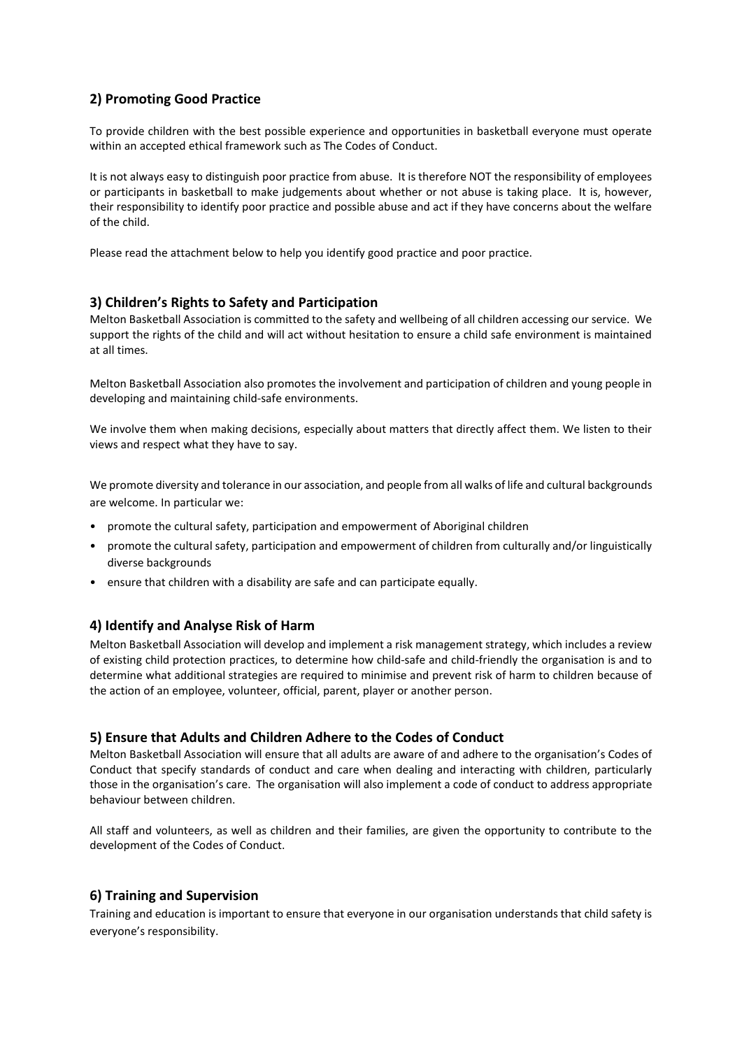# **2) Promoting Good Practice**

To provide children with the best possible experience and opportunities in basketball everyone must operate within an accepted ethical framework such as The Codes of Conduct.

It is not always easy to distinguish poor practice from abuse. It is therefore NOT the responsibility of employees or participants in basketball to make judgements about whether or not abuse is taking place. It is, however, their responsibility to identify poor practice and possible abuse and act if they have concerns about the welfare of the child.

Please read the attachment below to help you identify good practice and poor practice.

#### **3) Children's Rights to Safety and Participation**

Melton Basketball Association is committed to the safety and wellbeing of all children accessing our service. We support the rights of the child and will act without hesitation to ensure a child safe environment is maintained at all times.

Melton Basketball Association also promotes the involvement and participation of children and young people in developing and maintaining child-safe environments.

We involve them when making decisions, especially about matters that directly affect them. We listen to their views and respect what they have to say.

We promote diversity and tolerance in our association, and people from all walks of life and cultural backgrounds are welcome. In particular we:

- promote the cultural safety, participation and empowerment of Aboriginal children
- promote the cultural safety, participation and empowerment of children from culturally and/or linguistically diverse backgrounds
- ensure that children with a disability are safe and can participate equally.

#### **4) Identify and Analyse Risk of Harm**

Melton Basketball Association will develop and implement a risk management strategy, which includes a review of existing child protection practices, to determine how child-safe and child-friendly the organisation is and to determine what additional strategies are required to minimise and prevent risk of harm to children because of the action of an employee, volunteer, official, parent, player or another person.

#### **5) Ensure that Adults and Children Adhere to the Codes of Conduct**

Melton Basketball Association will ensure that all adults are aware of and adhere to the organisation's Codes of Conduct that specify standards of conduct and care when dealing and interacting with children, particularly those in the organisation's care. The organisation will also implement a code of conduct to address appropriate behaviour between children.

All staff and volunteers, as well as children and their families, are given the opportunity to contribute to the development of the Codes of Conduct.

#### **6) Training and Supervision**

Training and education is important to ensure that everyone in our organisation understands that child safety is everyone's responsibility.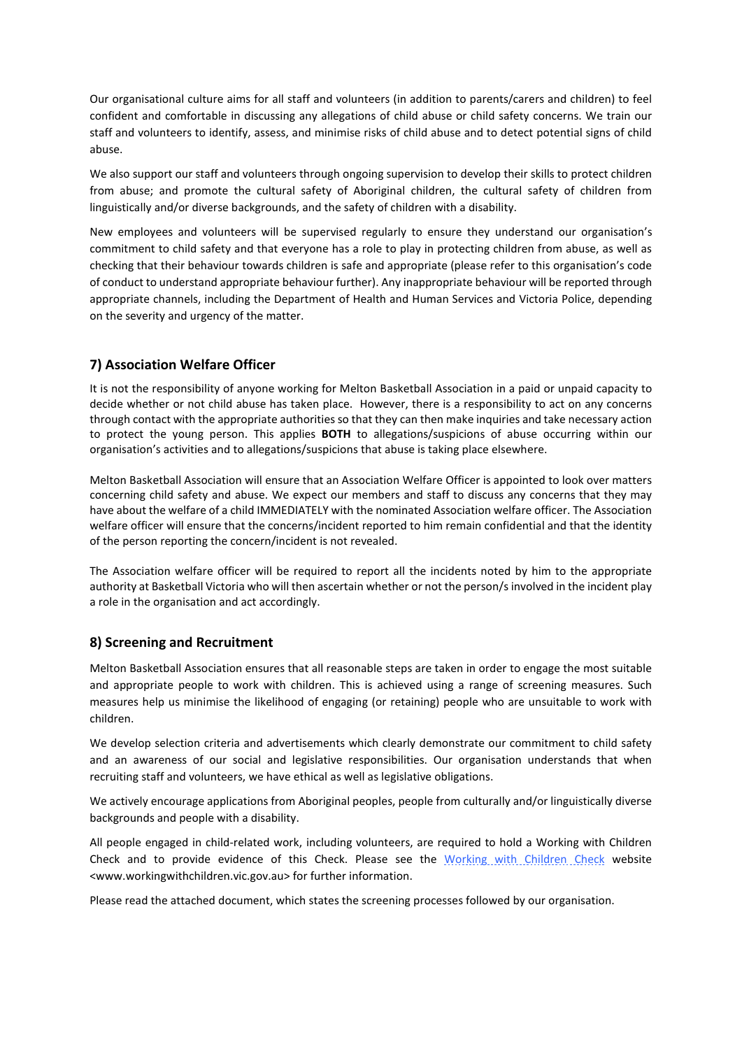Our organisational culture aims for all staff and volunteers (in addition to parents/carers and children) to feel confident and comfortable in discussing any allegations of child abuse or child safety concerns. We train our staff and volunteers to identify, assess, and minimise risks of child abuse and to detect potential signs of child abuse.

We also support our staff and volunteers through ongoing supervision to develop their skills to protect children from abuse; and promote the cultural safety of Aboriginal children, the cultural safety of children from linguistically and/or diverse backgrounds, and the safety of children with a disability.

New employees and volunteers will be supervised regularly to ensure they understand our organisation's commitment to child safety and that everyone has a role to play in protecting children from abuse, as well as checking that their behaviour towards children is safe and appropriate (please refer to this organisation's code of conduct to understand appropriate behaviour further). Any inappropriate behaviour will be reported through appropriate channels, including the Department of Health and Human Services and Victoria Police, depending on the severity and urgency of the matter.

### **7) Association Welfare Officer**

It is not the responsibility of anyone working for Melton Basketball Association in a paid or unpaid capacity to decide whether or not child abuse has taken place. However, there is a responsibility to act on any concerns through contact with the appropriate authorities so that they can then make inquiries and take necessary action to protect the young person. This applies **BOTH** to allegations/suspicions of abuse occurring within our organisation's activities and to allegations/suspicions that abuse is taking place elsewhere.

Melton Basketball Association will ensure that an Association Welfare Officer is appointed to look over matters concerning child safety and abuse. We expect our members and staff to discuss any concerns that they may have about the welfare of a child IMMEDIATELY with the nominated Association welfare officer. The Association welfare officer will ensure that the concerns/incident reported to him remain confidential and that the identity of the person reporting the concern/incident is not revealed.

The Association welfare officer will be required to report all the incidents noted by him to the appropriate authority at Basketball Victoria who will then ascertain whether or not the person/s involved in the incident play a role in the organisation and act accordingly.

#### **8) Screening and Recruitment**

Melton Basketball Association ensures that all reasonable steps are taken in order to engage the most suitable and appropriate people to work with children. This is achieved using a range of screening measures. Such measures help us minimise the likelihood of engaging (or retaining) people who are unsuitable to work with children.

We develop selection criteria and advertisements which clearly demonstrate our commitment to child safety and an awareness of our social and legislative responsibilities. Our organisation understands that when recruiting staff and volunteers, we have ethical as well as legislative obligations.

We actively encourage applications from Aboriginal peoples, people from culturally and/or linguistically diverse backgrounds and people with a disability.

All people engaged in child-related work, including volunteers, are required to hold a Working with Children Check and to provide evidence of this Check. Please see the [Working with Children Check](http://www.workingwithchildren.vic.gov.au/) website <www.workingwithchildren.vic.gov.au> for further information.

Please read the attached document, which states the screening processes followed by our organisation.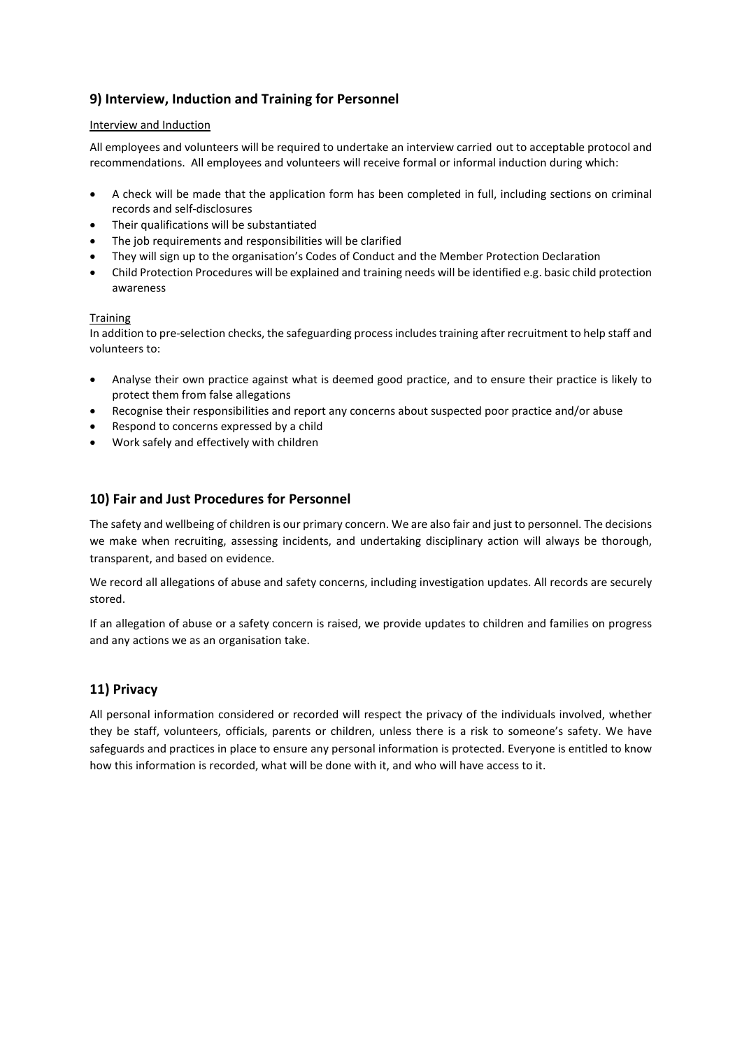# **9) Interview, Induction and Training for Personnel**

#### Interview and Induction

All employees and volunteers will be required to undertake an interview carried out to acceptable protocol and recommendations. All employees and volunteers will receive formal or informal induction during which:

- A check will be made that the application form has been completed in full, including sections on criminal records and self-disclosures
- Their qualifications will be substantiated
- The job requirements and responsibilities will be clarified
- They will sign up to the organisation's Codes of Conduct and the Member Protection Declaration
- Child Protection Procedures will be explained and training needs will be identified e.g. basic child protection awareness

#### **Training**

In addition to pre-selection checks, the safeguarding process includes training after recruitment to help staff and volunteers to:

- Analyse their own practice against what is deemed good practice, and to ensure their practice is likely to protect them from false allegations
- Recognise their responsibilities and report any concerns about suspected poor practice and/or abuse
- Respond to concerns expressed by a child
- Work safely and effectively with children

### **10) Fair and Just Procedures for Personnel**

The safety and wellbeing of children is our primary concern. We are also fair and just to personnel. The decisions we make when recruiting, assessing incidents, and undertaking disciplinary action will always be thorough, transparent, and based on evidence.

We record all allegations of abuse and safety concerns, including investigation updates. All records are securely stored.

If an allegation of abuse or a safety concern is raised, we provide updates to children and families on progress and any actions we as an organisation take.

### **11) Privacy**

All personal information considered or recorded will respect the privacy of the individuals involved, whether they be staff, volunteers, officials, parents or children, unless there is a risk to someone's safety. We have safeguards and practices in place to ensure any personal information is protected. Everyone is entitled to know how this information is recorded, what will be done with it, and who will have access to it.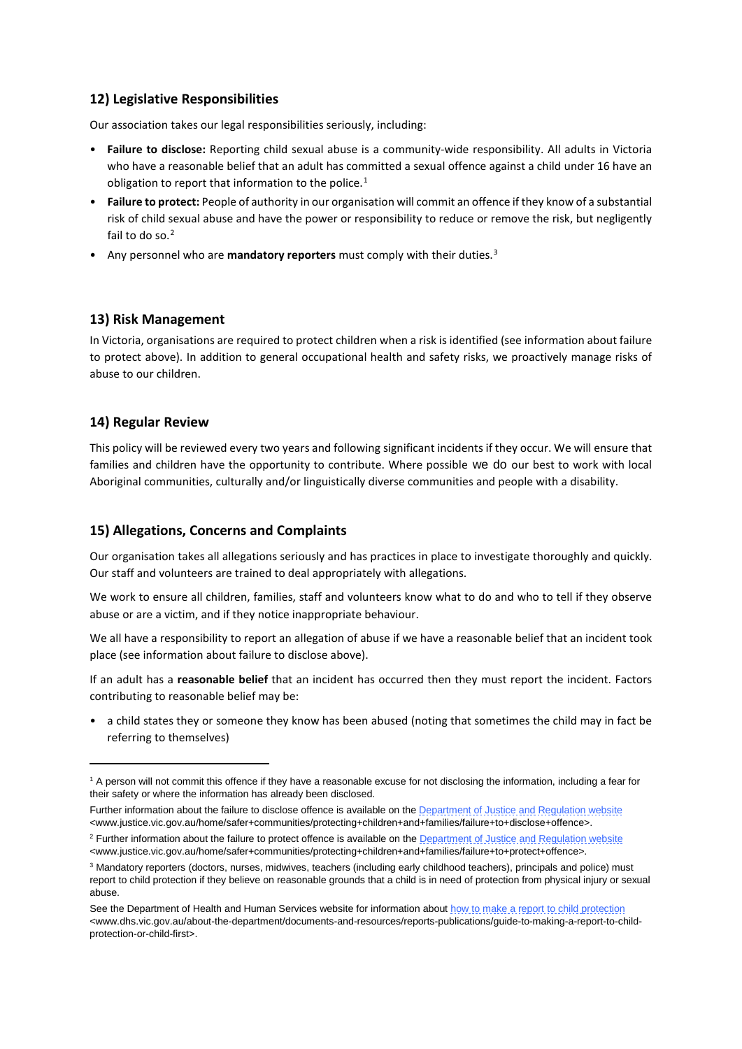## **12) Legislative Responsibilities**

Our association takes our legal responsibilities seriously, including:

- **Failure to disclose:** Reporting child sexual abuse is a community-wide responsibility. All adults in Victoria who have a reasonable belief that an adult has committed a sexual offence against a child under 16 have an obligation to report that information to the police.<sup>[1](#page-5-0)</sup>
- **Failure to protect:** People of authority in our organisation will commit an offence if they know of a substantial risk of child sexual abuse and have the power or responsibility to reduce or remove the risk, but negligently fail to do so. $<sup>2</sup>$  $<sup>2</sup>$  $<sup>2</sup>$ </sup>
- Any personnel who are **mandatory reporters** must comply with their duties.[3](#page-5-2)

### **13) Risk Management**

In Victoria, organisations are required to protect children when a risk is identified (see information about failure to protect above). In addition to general occupational health and safety risks, we proactively manage risks of abuse to our children.

### **14) Regular Review**

1

This policy will be reviewed every two years and following significant incidents if they occur. We will ensure that families and children have the opportunity to contribute. Where possible we do our best to work with local Aboriginal communities, culturally and/or linguistically diverse communities and people with a disability.

## **15) Allegations, Concerns and Complaints**

Our organisation takes all allegations seriously and has practices in place to investigate thoroughly and quickly. Our staff and volunteers are trained to deal appropriately with allegations.

We work to ensure all children, families, staff and volunteers know what to do and who to tell if they observe abuse or are a victim, and if they notice inappropriate behaviour.

We all have a responsibility to report an allegation of abuse if we have a reasonable belief that an incident took place (see information about failure to disclose above).

If an adult has a **reasonable belief** that an incident has occurred then they must report the incident. Factors contributing to reasonable belief may be:

• a child states they or someone they know has been abused (noting that sometimes the child may in fact be referring to themselves)

<span id="page-5-0"></span><sup>&</sup>lt;sup>1</sup> A person will not commit this offence if they have a reasonable excuse for not disclosing the information, including a fear for their safety or where the information has already been disclosed.

Further information about the failure to disclose offence is available on th[e Department of Justice and Regulation website](http://www.justice.vic.gov.au/home/safer+communities/protecting+children+and+families/failure+to+disclose+offence) <www.justice.vic.gov.au/home/safer+communities/protecting+children+and+families/failure+to+disclose+offence>.

<span id="page-5-1"></span><sup>&</sup>lt;sup>2</sup> Further information about the failure to protect offence is available on th[e Department of Justice and Regulation website](http://www.justice.vic.gov.au/home/safer+communities/protecting+children+and+families/failure+to+protect+offence) <www.justice.vic.gov.au/home/safer+communities/protecting+children+and+families/failure+to+protect+offence>.

<span id="page-5-2"></span><sup>3</sup> Mandatory reporters (doctors, nurses, midwives, teachers (including early childhood teachers), principals and police) must report to child protection if they believe on reasonable grounds that a child is in need of protection from physical injury or sexual abuse.

See the Department of Health and Human Services website for information abou[t how to make a report to child protection](http://www.dhs.vic.gov.au/about-the-department/documents-and-resources/reports-publications/guide-to-making-a-report-to-child-protection-or-child-first) <www.dhs.vic.gov.au/about-the-department/documents-and-resources/reports-publications/guide-to-making-a-report-to-childprotection-or-child-first>.